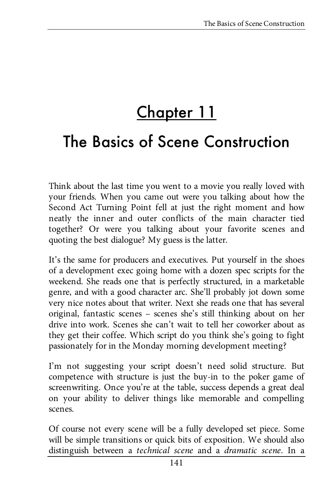# <u>Chapter 11</u>

# The Basics of Scene Construction

Think about the last time you went to a movie you really loved with your friends. When you came out were you talking about how the Second Act Turning Point fell at just the right moment and how neatly the inner and outer conflicts of the main character tied together? Or were you talking about your favorite scenes and quoting the best dialogue? My guess is the latter.

It's the same for producers and executives. Put yourself in the shoes of a development exec going home with a dozen spec scripts for the weekend. She reads one that is perfectly structured, in a marketable genre, and with a good character arc. She'll probably jot down some very nice notes about that writer. Next she reads one that has several original, fantastic scenes – scenes she's still thinking about on her drive into work. Scenes she can't wait to tell her coworker about as they get their coffee. Which script do you think she's going to fight passionately for in the Monday morning development meeting?

I'm not suggesting your script doesn't need solid structure. But competence with structure is just the buy-in to the poker game of screenwriting. Once you're at the table, success depends a great deal on your ability to deliver things like memorable and compelling scenes.

Of course not every scene will be a fully developed set piece. Some will be simple transitions or quick bits of exposition. We should also distinguish between a *technical scene* and a *dramatic scene*. In a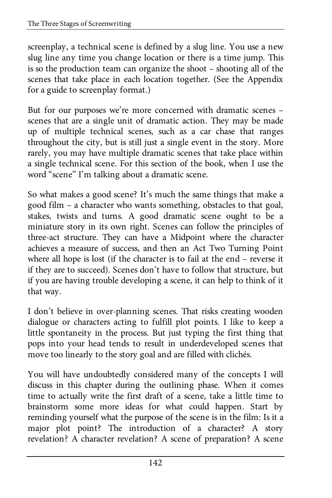screenplay, a technical scene is defined by a slug line. You use a new slug line any time you change location or there is a time jump. This is so the production team can organize the shoot – shooting all of the scenes that take place in each location together. (See the Appendix for a guide to screenplay format.)

But for our purposes we're more concerned with dramatic scenes – scenes that are a single unit of dramatic action. They may be made up of multiple technical scenes, such as a car chase that ranges throughout the city, but is still just a single event in the story. More rarely, you may have multiple dramatic scenes that take place within a single technical scene. For this section of the book, when I use the word "scene" I'm talking about a dramatic scene.

So what makes a good scene? It's much the same things that make a good film – a character who wants something, obstacles to that goal, stakes, twists and turns. A good dramatic scene ought to be a miniature story in its own right. Scenes can follow the principles of three-act structure. They can have a Midpoint where the character achieves a measure of success, and then an Act Two Turning Point where all hope is lost (if the character is to fail at the end – reverse it if they are to succeed). Scenes don't have to follow that structure, but if you are having trouble developing a scene, it can help to think of it that way.

I don't believe in over-planning scenes. That risks creating wooden dialogue or characters acting to fulfill plot points. I like to keep a little spontaneity in the process. But just typing the first thing that pops into your head tends to result in underdeveloped scenes that move too linearly to the story goal and are filled with clichés.

You will have undoubtedly considered many of the concepts I will discuss in this chapter during the outlining phase. When it comes time to actually write the first draft of a scene, take a little time to brainstorm some more ideas for what could happen. Start by reminding yourself what the purpose of the scene is in the film: Is it a major plot point? The introduction of a character? A story revelation? A character revelation? A scene of preparation? A scene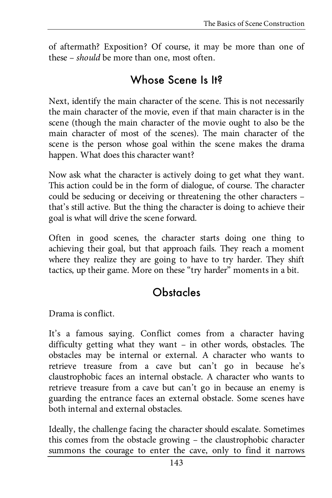of aftermath? Exposition? Of course, it may be more than one of these – *should* be more than one, most often.

#### Whose Scene Is It?

Next, identify the main character of the scene. This is not necessarily the main character of the movie, even if that main character is in the scene (though the main character of the movie ought to also be the main character of most of the scenes). The main character of the scene is the person whose goal within the scene makes the drama happen. What does this character want?

Now ask what the character is actively doing to get what they want. This action could be in the form of dialogue, of course. The character could be seducing or deceiving or threatening the other characters – that's still active. But the thing the character is doing to achieve their goal is what will drive the scene forward.

Often in good scenes, the character starts doing one thing to achieving their goal, but that approach fails. They reach a moment where they realize they are going to have to try harder. They shift tactics, up their game. More on these "try harder" moments in a bit.

### **Obstacles**

Drama is conflict.

It's a famous saying. Conflict comes from a character having difficulty getting what they want – in other words, obstacles. The obstacles may be internal or external. A character who wants to retrieve treasure from a cave but can't go in because he's claustrophobic faces an internal obstacle. A character who wants to retrieve treasure from a cave but can't go in because an enemy is guarding the entrance faces an external obstacle. Some scenes have both internal and external obstacles.

Ideally, the challenge facing the character should escalate. Sometimes this comes from the obstacle growing – the claustrophobic character summons the courage to enter the cave, only to find it narrows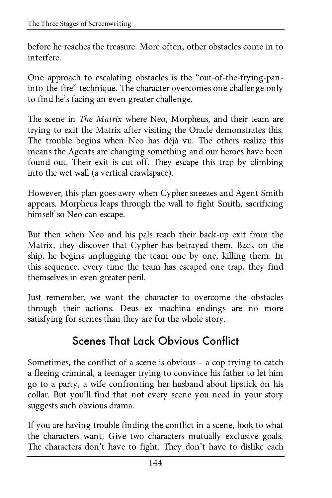before he reaches the treasure. More often, other obstacles come in to interfere.

One approach to escalating obstacles is the "out-of-the-frying-paninto-the-fire" technique. The character overcomes one challenge only to find he's facing an even greater challenge.

The scene in *The Matrix* where Neo, Morpheus, and their team are trying to exit the Matrix after visiting the Oracle demonstrates this. The trouble begins when Neo has déjà vu. The others realize this means the Agents are changing something and our heroes have been found out. Their exit is cut off. They escape this trap by climbing into the wet wall (a vertical crawlspace).

However, this plan goes awry when Cypher sneezes and Agent Smith appears. Morpheus leaps through the wall to fight Smith, sacrificing himself so Neo can escape.

But then when Neo and his pals reach their back-up exit from the Matrix, they discover that Cypher has betrayed them. Back on the ship, he begins unplugging the team one by one, killing them. In this sequence, every time the team has escaped one trap, they find themselves in even greater peril.

Just remember, we want the character to overcome the obstacles through their actions. Deus ex machina endings are no more satisfying for scenes than they are for the whole story.

## Scenes That Lack Obvious Conflict

Sometimes, the conflict of a scene is obvious – a cop trying to catch a fleeing criminal, a teenager trying to convince his father to let him go to a party, a wife confronting her husband about lipstick on his collar. But you'll find that not every scene you need in your story suggests such obvious drama.

If you are having trouble finding the conflict in a scene, look to what the characters want. Give two characters mutually exclusive goals. The characters don't have to fight. They don't have to dislike each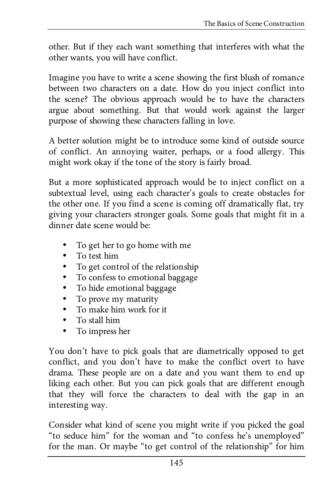other. But if they each want something that interferes with what the other wants, you will have conflict.

Imagine you have to write a scene showing the first blush of romance between two characters on a date. How do you inject conflict into the scene? The obvious approach would be to have the characters argue about something. But that would work against the larger purpose of showing these characters falling in love.

A better solution might be to introduce some kind of outside source of conflict. An annoying waiter, perhaps, or a food allergy. This might work okay if the tone of the story is fairly broad.

But a more sophisticated approach would be to inject conflict on a subtextual level, using each character's goals to create obstacles for the other one. If you find a scene is coming off dramatically flat, try giving your characters stronger goals. Some goals that might fit in a dinner date scene would be:

- To get her to go home with me
- To test him
- To get control of the relationship
- To confess to emotional baggage
- To hide emotional baggage
- To prove my maturity
- To make him work for it
- To stall him
- To impress her

You don't have to pick goals that are diametrically opposed to get conflict, and you don't have to make the conflict overt to have drama. These people are on a date and you want them to end up liking each other. But you can pick goals that are different enough that they will force the characters to deal with the gap in an interesting way.

Consider what kind of scene you might write if you picked the goal "to seduce him" for the woman and "to confess he's unemployed" for the man. Or maybe "to get control of the relationship" for him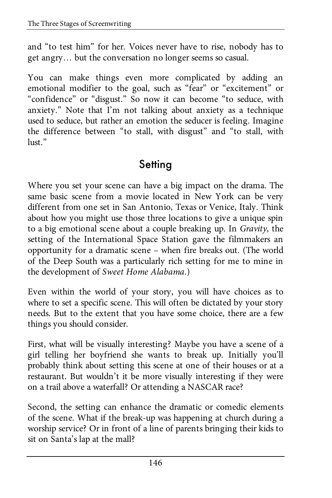and "to test him" for her. Voices never have to rise, nobody has to get angry… but the conversation no longer seems so casual.

You can make things even more complicated by adding an emotional modifier to the goal, such as "fear" or "excitement" or "confidence" or "disgust." So now it can become "to seduce, with anxiety." Note that I'm not talking about anxiety as a technique used to seduce, but rather an emotion the seducer is feeling. Imagine the difference between "to stall, with disgust" and "to stall, with lust."

#### **Setting**

Where you set your scene can have a big impact on the drama. The same basic scene from a movie located in New York can be very different from one set in San Antonio, Texas or Venice, Italy. Think about how you might use those three locations to give a unique spin to a big emotional scene about a couple breaking up. In *Gravity*, the setting of the International Space Station gave the filmmakers an opportunity for a dramatic scene – when fire breaks out. (The world of the Deep South was a particularly rich setting for me to mine in the development of *Sweet Home Alabama*.)

Even within the world of your story, you will have choices as to where to set a specific scene. This will often be dictated by your story needs. But to the extent that you have some choice, there are a few things you should consider.

First, what will be visually interesting? Maybe you have a scene of a girl telling her boyfriend she wants to break up. Initially you'll probably think about setting this scene at one of their houses or at a restaurant. But wouldn't it be more visually interesting if they were on a trail above a waterfall? Or attending a NASCAR race?

Second, the setting can enhance the dramatic or comedic elements of the scene. What if the break-up was happening at church during a worship service? Or in front of a line of parents bringing their kids to sit on Santa's lap at the mall?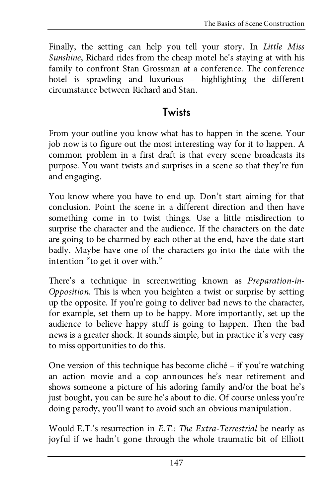Finally, the setting can help you tell your story. In *Little Miss Sunshine*, Richard rides from the cheap motel he's staying at with his family to confront Stan Grossman at a conference. The conference hotel is sprawling and luxurious - highlighting the different circumstance between Richard and Stan.

#### **Twists**

From your outline you know what has to happen in the scene. Your job now is to figure out the most interesting way for it to happen. A common problem in a first draft is that every scene broadcasts its purpose. You want twists and surprises in a scene so that they're fun and engaging.

You know where you have to end up. Don't start aiming for that conclusion. Point the scene in a different direction and then have something come in to twist things. Use a little misdirection to surprise the character and the audience. If the characters on the date are going to be charmed by each other at the end, have the date start badly. Maybe have one of the characters go into the date with the intention "to get it over with."

There's a technique in screenwriting known as *Preparation-in-Opposition*. This is when you heighten a twist or surprise by setting up the opposite. If you're going to deliver bad news to the character, for example, set them up to be happy. More importantly, set up the audience to believe happy stuff is going to happen. Then the bad news is a greater shock. It sounds simple, but in practice it's very easy to miss opportunities to do this.

One version of this technique has become cliché – if you're watching an action movie and a cop announces he's near retirement and shows someone a picture of his adoring family and/or the boat he's just bought, you can be sure he's about to die. Of course unless you're doing parody, you'll want to avoid such an obvious manipulation.

Would E.T.'s resurrection in *E.T.: The Extra-Terrestrial* be nearly as joyful if we hadn't gone through the whole traumatic bit of Elliott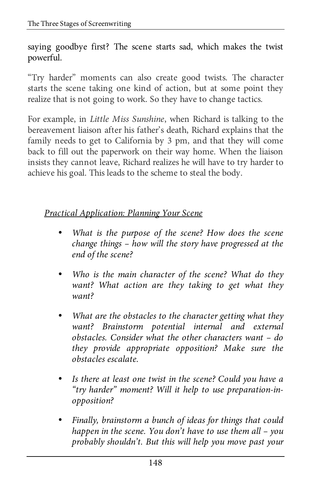saying goodbye first? The scene starts sad, which makes the twist powerful.

"Try harder" moments can also create good twists. The character starts the scene taking one kind of action, but at some point they realize that is not going to work. So they have to change tactics.

For example, in *Little Miss Sunshine*, when Richard is talking to the bereavement liaison after his father's death, Richard explains that the family needs to get to California by 3 pm, and that they will come back to fill out the paperwork on their way home. When the liaison insists they cannot leave, Richard realizes he will have to try harder to achieve his goal. This leads to the scheme to steal the body.

#### *Practical Application: Planning Your Scene*

- *What is the purpose of the scene? How does the scene change things – how will the story have progressed at the end of the scene?*
- *Who is the main character of the scene? What do they want? What action are they taking to get what they want?*
- *What are the obstacles to the character getting what they want? Brainstorm potential internal and external obstacles. Consider what the other characters want – do they provide appropriate opposition? Make sure the obstacles escalate.*
- *Is there at least one twist in the scene? Could you have a "try harder" moment? Will it help to use preparation-inopposition?*
- *Finally, brainstorm a bunch of ideas for things that could happen in the scene. You don't have to use them all – you probably shouldn't. But this will help you move past your*